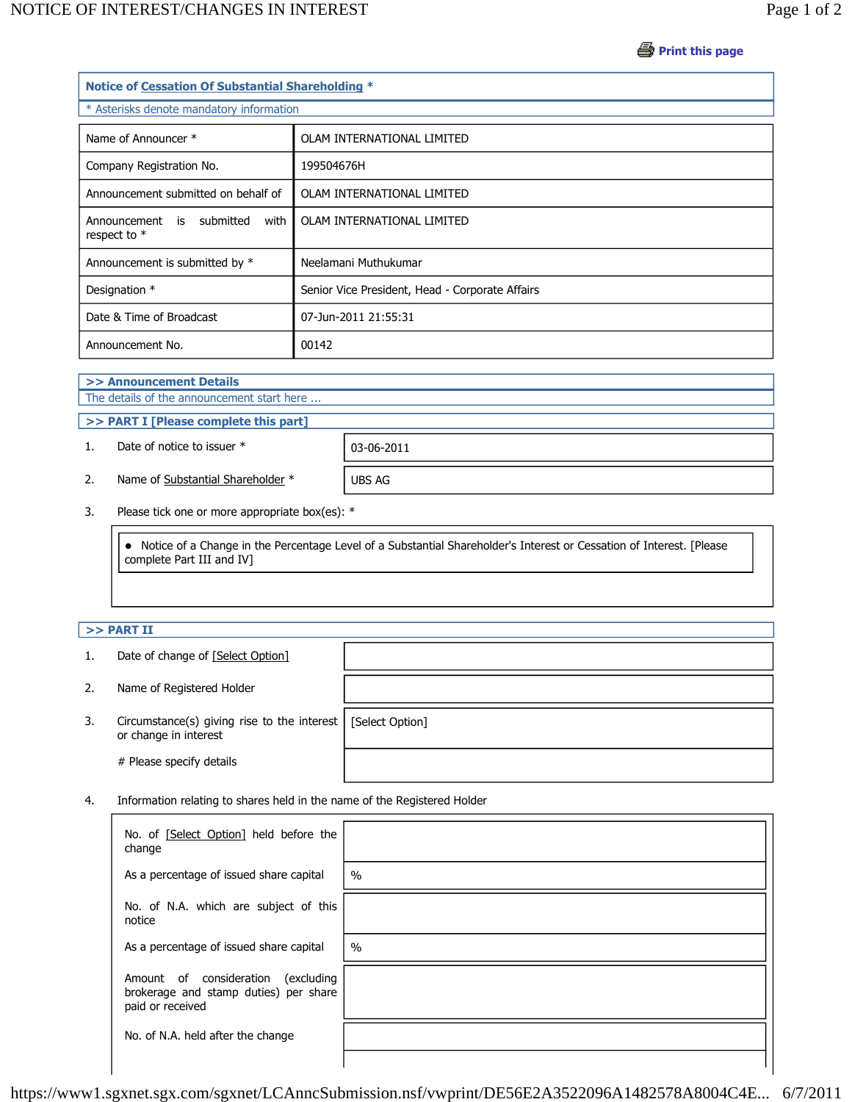**Print this page** 

| Notice of Cessation Of Substantial Shareholding * |                                                 |  |  |  |
|---------------------------------------------------|-------------------------------------------------|--|--|--|
| * Asterisks denote mandatory information          |                                                 |  |  |  |
| Name of Announcer *                               | OLAM INTERNATIONAL LIMITED                      |  |  |  |
| Company Registration No.                          | 199504676H                                      |  |  |  |
| Announcement submitted on behalf of               | OLAM INTERNATIONAL LIMITED                      |  |  |  |
| Announcement is submitted<br>with<br>respect to * | OLAM INTERNATIONAL LIMITED                      |  |  |  |
| Announcement is submitted by *                    | Neelamani Muthukumar                            |  |  |  |
| Designation *                                     | Senior Vice President, Head - Corporate Affairs |  |  |  |
| Date & Time of Broadcast                          | 07-Jun-2011 21:55:31                            |  |  |  |
| Announcement No.                                  | 00142                                           |  |  |  |

**>> Announcement Details**

The details of the announcement start here ...

**>> PART I [Please complete this part]**

1. Date of notice to issuer \* 03-06-2011

2. Name of Substantial Shareholder \* UBS AG

3. Please tick one or more appropriate box(es): \*

 Notice of a Change in the Percentage Level of a Substantial Shareholder's Interest or Cessation of Interest. [Please complete Part III and IV]

## **>> PART II**

| 1. | Date of change of [Select Option] |
|----|-----------------------------------|
|----|-----------------------------------|

- 2. Name of Registered Holder
- 3. Circumstance(s) giving rise to the interest or change in interest

# Please specify details

[Select Option]

4. Information relating to shares held in the name of the Registered Holder

| No. of [Select Option] held before the<br>change                                                   |               |
|----------------------------------------------------------------------------------------------------|---------------|
| As a percentage of issued share capital                                                            | $\frac{0}{0}$ |
| No. of N.A. which are subject of this<br>notice                                                    |               |
| As a percentage of issued share capital                                                            | $\frac{0}{0}$ |
| Amount of consideration<br>(excluding<br>brokerage and stamp duties) per share<br>paid or received |               |
| No. of N.A. held after the change                                                                  |               |
|                                                                                                    |               |